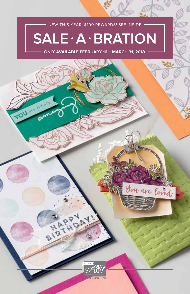### NEW THIS YEAR: \$100 REWARDS! SEE INSIDE

Ø

# **SALE** • **A** • **BRATION**

**ONLY AVAILABLE FEBRUARY 16 – MARCH 31, 2018**

YOU SHARRY



BIRTHDAY

You are loved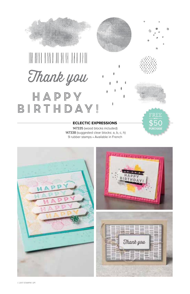

#### **ECLECTIC EXPRESSIONS**

147335 (wood blocks included) 147338 (suggested clear blocks: a, b, c, h) 9 rubber stamps • Available in French





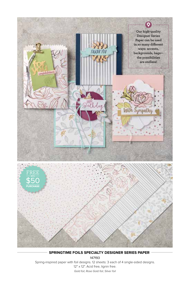

**SPRINGTIME FOILS SPECIALTY DESIGNER SERIES PAPER** 147193 Spring-inspired paper with foil designs. 12 sheets: 3 each of 4 single-sided designs. 12" x 12". Acid free, lignin free. *Gold foil, Rose Gold foil, Silver foil*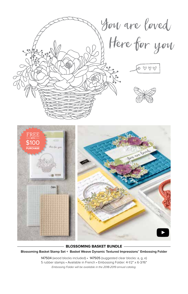

**BLOSSOMING BASKET BUNDLE**

**Blossoming Basket Stamp Set + Basket Weave Dynamic Textured Impressions™ Embossing Folder**

147504 (wood blocks included) • 147505 (suggested clear blocks: a, g, e) 5 rubber stamps • Available in French • Embossing Folder: 4-1/2" x 6-3/16" *Embossing Folder will be available in the 2018-2019 annual catalog.*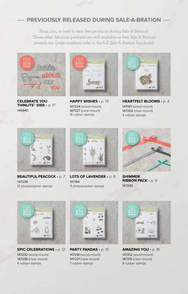## **PREVIOUSLY RELEASED DURING SALE-A-BRATION**

Shop, join, or host to earn free products during Sale-A-Bration! These other fabulous products are still available as free Sale-A-Bration rewards too (page numbers refer to the full Sale-A-Bration brochure).



**CELEBRATE YOU THINLITS™ DIES** *• p. 17* 146840



**HAPPY WISHES** *• p. 19* 147224 (wood-mount) 147227 (clear-mount) 16 rubber stamps



**HEARTFELT BLOOMS** *• p. 4* 147197 (wood-mount) 147202 (clear-mount) 4 rubber stamps



**BEAUTIFUL PEACOCK** *• p. 7* 147239 12 photopolymer stamps



**LOTS OF LAVENDER** *• p. 8* 147194 11 photopolymer stamps



**SHIMMER RIBBON PACK** *• p. 9* 147243



**EPIC CELEBRATIONS** *• p. 12* 147232 (wood-mount) 147236 (clear-mount) 6 rubber stamps



**PARTY PANDAS** *• p. 15* 147218 (wood-mount) 147221 (clear-mount) 7 rubber stamps



**AMAZING YOU** *• p. 16* 147212 (wood-mount) 147215 (clear-mount) 8 rubber stamps